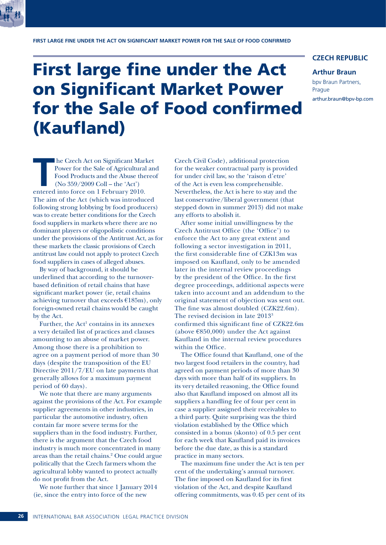

# First large fine under the Act on Significant Market Power for the Sale of Food confirmed (Kaufland)

# **CZECH REPUBLIC**

### **Arthur Braun**

bpv Braun Partners, Prague arthur.braun@bpv-bp.com

**T** he Czech Act on Significant Market Power for the Sale of Agricultural and Food Products and the Abuse thereof (No 359/2009 Coll – the 'Act') entered into force on 1 February 2010. The aim of the Act (which was introduced following strong lobbying by food producers) was to create better conditions for the Czech food suppliers in markets where there are no dominant players or oligopolistic conditions under the provisions of the Antitrust Act, as for these markets the classic provisions of Czech antitrust law could not apply to protect Czech food suppliers in cases of alleged abuses.

By way of background, it should be underlined that according to the turnoverbased definition of retail chains that have significant market power (ie, retail chains achieving turnover that exceeds €185m), only foreign-owned retail chains would be caught by the Act.

Further, the  $Act<sup>1</sup>$  contains in its annexes a very detailed list of practices and clauses amounting to an abuse of market power. Among those there is a prohibition to agree on a payment period of more than 30 days (despite the transposition of the EU Directive 2011/7/EU on late payments that generally allows for a maximum payment period of 60 days).

We note that there are many arguments against the provisions of the Act. For example supplier agreements in other industries, in particular the automotive industry, often contain far more severe terms for the suppliers than in the food industry. Further, there is the argument that the Czech food industry is much more concentrated in many areas than the retail chains.2 One could argue politically that the Czech farmers whom the agricultural lobby wanted to protect actually do not profit from the Act.

We note further that since 1 January 2014 (ie, since the entry into force of the new

Czech Civil Code), additional protection for the weaker contractual party is provided for under civil law, so the 'raison d'etre' of the Act is even less comprehensible. Nevertheless, the Act is here to stay and the last conservative/liberal government (that stepped down in summer 2013) did not make any efforts to abolish it.

After some initial unwillingness by the Czech Antitrust Office (the 'Office') to enforce the Act to any great extent and following a sector investigation in 2011, the first considerable fine of CZK13m was imposed on Kaufland, only to be amended later in the internal review proceedings by the president of the Office. In the first degree proceedings, additional aspects were taken into account and an addendum to the original statement of objection was sent out. The fine was almost doubled (CZK22.6m). The revised decision in late 20133 confirmed this significant fine of CZK22.6m (above  $\epsilon$ 850,000) under the Act against Kaufland in the internal review procedures within the Office.

The Office found that Kaufland, one of the two largest food retailers in the country, had agreed on payment periods of more than 30 days with more than half of its suppliers. In its very detailed reasoning, the Office found also that Kaufland imposed on almost all its suppliers a handling fee of four per cent in case a supplier assigned their receivables to a third party. Quite surprising was the third violation established by the Office which consisted in a bonus (skonto) of 0.5 per cent for each week that Kaufland paid its invoices before the due date, as this is a standard practice in many sectors.

The maximum fine under the Act is ten per cent of the undertaking's annual turnover. The fine imposed on Kaufland for its first violation of the Act, and despite Kaufland offering commitments, was 0.45 per cent of its